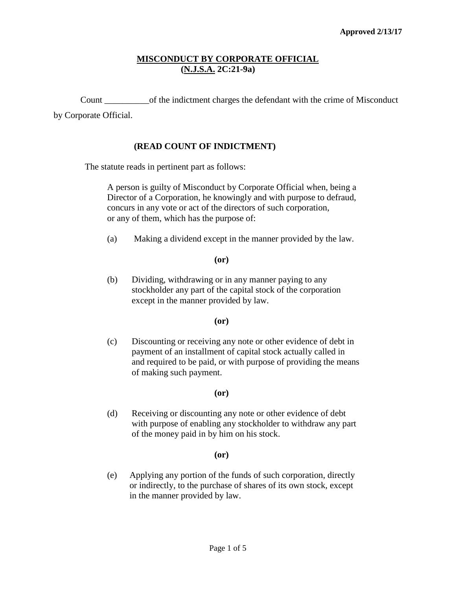## **MISCONDUCT BY CORPORATE OFFICIAL (N.J.S.A. 2C:21-9a)**

Count \_\_\_\_\_\_\_\_\_\_of the indictment charges the defendant with the crime of Misconduct by Corporate Official.

## **(READ COUNT OF INDICTMENT)**

The statute reads in pertinent part as follows:

A person is guilty of Misconduct by Corporate Official when, being a Director of a Corporation, he knowingly and with purpose to defraud, concurs in any vote or act of the directors of such corporation, or any of them, which has the purpose of:

(a) Making a dividend except in the manner provided by the law.

#### **(or)**

(b) Dividing, withdrawing or in any manner paying to any stockholder any part of the capital stock of the corporation except in the manner provided by law.

#### **(or)**

(c) Discounting or receiving any note or other evidence of debt in payment of an installment of capital stock actually called in and required to be paid, or with purpose of providing the means of making such payment.

### **(or)**

(d) Receiving or discounting any note or other evidence of debt with purpose of enabling any stockholder to withdraw any part of the money paid in by him on his stock.

#### **(or)**

(e) Applying any portion of the funds of such corporation, directly or indirectly, to the purchase of shares of its own stock, except in the manner provided by law.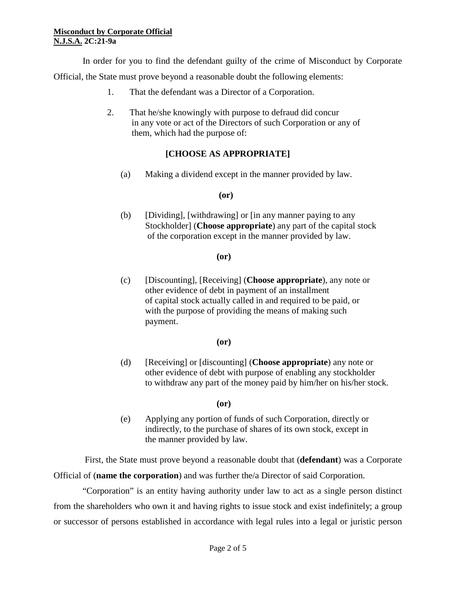In order for you to find the defendant guilty of the crime of Misconduct by Corporate Official, the State must prove beyond a reasonable doubt the following elements:

- 1. That the defendant was a Director of a Corporation.
- 2. That he/she knowingly with purpose to defraud did concur in any vote or act of the Directors of such Corporation or any of them, which had the purpose of:

# **[CHOOSE AS APPROPRIATE]**

(a) Making a dividend except in the manner provided by law.

## **(or)**

(b) [Dividing], [withdrawing] or [in any manner paying to any Stockholder] (**Choose appropriate**) any part of the capital stock of the corporation except in the manner provided by law.

## **(or)**

(c) [Discounting], [Receiving] (**Choose appropriate**), any note or other evidence of debt in payment of an installment of capital stock actually called in and required to be paid, or with the purpose of providing the means of making such payment.

## **(or)**

(d) [Receiving] or [discounting] (**Choose appropriate**) any note or other evidence of debt with purpose of enabling any stockholder to withdraw any part of the money paid by him/her on his/her stock.

## **(or)**

(e) Applying any portion of funds of such Corporation, directly or indirectly, to the purchase of shares of its own stock, except in the manner provided by law.

 First, the State must prove beyond a reasonable doubt that (**defendant**) was a Corporate Official of (**name the corporation**) and was further the/a Director of said Corporation.

"Corporation" is an entity having authority under law to act as a single person distinct from the shareholders who own it and having rights to issue stock and exist indefinitely; a group or successor of persons established in accordance with legal rules into a legal or juristic person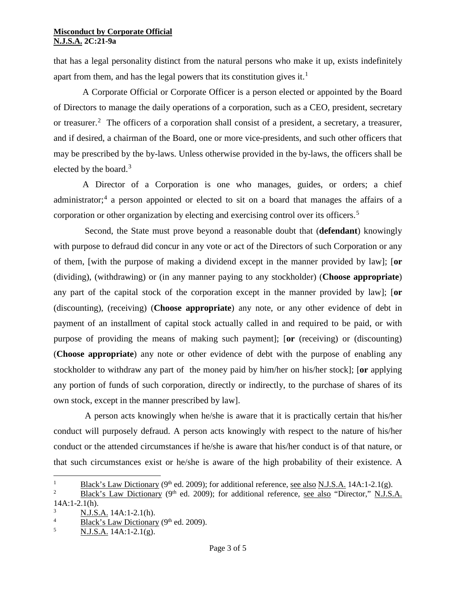that has a legal personality distinct from the natural persons who make it up, exists indefinitely apart from them, and has the legal powers that its constitution gives it.<sup>[1](#page-2-0)</sup>

A Corporate Official or Corporate Officer is a person elected or appointed by the Board of Directors to manage the daily operations of a corporation, such as a CEO, president, secretary or treasurer.<sup>[2](#page-2-1)</sup> The officers of a corporation shall consist of a president, a secretary, a treasurer, and if desired, a chairman of the Board, one or more vice-presidents, and such other officers that may be prescribed by the by-laws. Unless otherwise provided in the by-laws, the officers shall be elected by the board.<sup>[3](#page-2-2)</sup>

A Director of a Corporation is one who manages, guides, or orders; a chief administrator;<sup>[4](#page-2-3)</sup> a person appointed or elected to sit on a board that manages the affairs of a corporation or other organization by electing and exercising control over its officers.<sup>[5](#page-2-4)</sup>

 Second, the State must prove beyond a reasonable doubt that (**defendant**) knowingly with purpose to defraud did concur in any vote or act of the Directors of such Corporation or any of them, [with the purpose of making a dividend except in the manner provided by law]; [**or** (dividing), (withdrawing) or (in any manner paying to any stockholder) (**Choose appropriate**) any part of the capital stock of the corporation except in the manner provided by law]; [**or** (discounting), (receiving) (**Choose appropriate**) any note, or any other evidence of debt in payment of an installment of capital stock actually called in and required to be paid, or with purpose of providing the means of making such payment]; [**or** (receiving) or (discounting) (**Choose appropriate**) any note or other evidence of debt with the purpose of enabling any stockholder to withdraw any part of the money paid by him/her on his/her stock]; [**or** applying any portion of funds of such corporation, directly or indirectly, to the purchase of shares of its own stock, except in the manner prescribed by law].

 A person acts knowingly when he/she is aware that it is practically certain that his/her conduct will purposely defraud. A person acts knowingly with respect to the nature of his/her conduct or the attended circumstances if he/she is aware that his/her conduct is of that nature, or that such circumstances exist or he/she is aware of the high probability of their existence. A

 $\frac{1}{1}$ <sup>1</sup> Black's Law Dictionary (9<sup>th</sup> ed. 2009); for additional reference, see also N.J.S.A. 14A:1-2.1(g).

<span id="page-2-1"></span><span id="page-2-0"></span><sup>2</sup> Black's Law Dictionary (9<sup>th</sup> ed. 2009); for additional reference, see also "Director," N.J.S.A.  $14A:1-2.1(h).$ 

<span id="page-2-2"></span> $\frac{3}{4}$  N.J.S.A. 14A:1-2.1(h).

<span id="page-2-3"></span> $\frac{4}{5}$  Black's Law Dictionary (9<sup>th</sup> ed. 2009).

<span id="page-2-4"></span><sup>5</sup> N.J.S.A. 14A:1-2.1(g).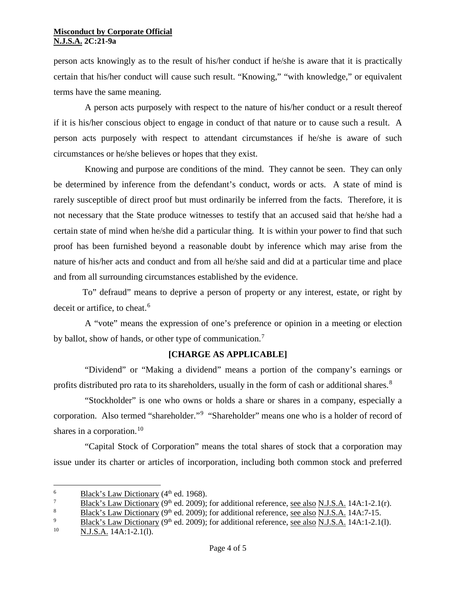person acts knowingly as to the result of his/her conduct if he/she is aware that it is practically certain that his/her conduct will cause such result. "Knowing," "with knowledge," or equivalent terms have the same meaning.

 A person acts purposely with respect to the nature of his/her conduct or a result thereof if it is his/her conscious object to engage in conduct of that nature or to cause such a result. A person acts purposely with respect to attendant circumstances if he/she is aware of such circumstances or he/she believes or hopes that they exist.

 Knowing and purpose are conditions of the mind. They cannot be seen. They can only be determined by inference from the defendant's conduct, words or acts. A state of mind is rarely susceptible of direct proof but must ordinarily be inferred from the facts. Therefore, it is not necessary that the State produce witnesses to testify that an accused said that he/she had a certain state of mind when he/she did a particular thing. It is within your power to find that such proof has been furnished beyond a reasonable doubt by inference which may arise from the nature of his/her acts and conduct and from all he/she said and did at a particular time and place and from all surrounding circumstances established by the evidence.

To" defraud" means to deprive a person of property or any interest, estate, or right by deceit or artifice, to cheat.<sup>[6](#page-3-0)</sup>

 A "vote" means the expression of one's preference or opinion in a meeting or election by ballot, show of hands, or other type of communication.<sup>[7](#page-3-1)</sup>

# **[CHARGE AS APPLICABLE]**

 "Dividend" or "Making a dividend" means a portion of the company's earnings or profits distributed pro rata to its shareholders, usually in the form of cash or additional shares.<sup>[8](#page-3-2)</sup>

 "Stockholder" is one who owns or holds a share or shares in a company, especially a corporation. Also termed "shareholder."<sup>[9](#page-3-3)</sup> "Shareholder" means one who is a holder of record of shares in a corporation.<sup>[10](#page-3-4)</sup>

 "Capital Stock of Corporation" means the total shares of stock that a corporation may issue under its charter or articles of incorporation, including both common stock and preferred

<span id="page-3-0"></span><sup>&</sup>lt;sup>6</sup> Black's Law Dictionary (4<sup>th</sup> ed. 1968).

<span id="page-3-1"></span><sup>&</sup>lt;sup>7</sup> Black's Law Dictionary (9<sup>th</sup> ed. 2009); for additional reference, <u>see also N.J.S.A.</u> 14A:1-2.1(r).

<span id="page-3-2"></span><sup>&</sup>lt;sup>8</sup> Black's Law Dictionary (9<sup>th</sup> ed. 2009); for additional reference, <u>see also N.J.S.A.</u> 14A:7-15.<br><sup>9</sup> Black's Law Dictionary (9<sup>th</sup> ed. 2009); for additional reference, see also N.J.S.A. 14A:1-2.10

<span id="page-3-3"></span> $\frac{9}{10}$  Black's Law Dictionary (9<sup>th</sup> ed. 2009); for additional reference, <u>see also N.J.S.A.</u> 14A:1-2.1(l).

<span id="page-3-4"></span>N.J.S.A. 14A:1-2.1(l).